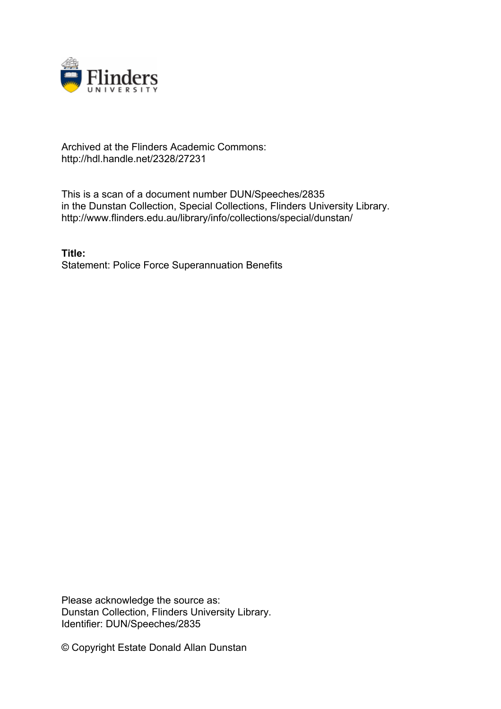

## Archived at the Flinders Academic Commons: http://hdl.handle.net/2328/27231

This is a scan of a document number DUN/Speeches/2835 in the Dunstan Collection, Special Collections, Flinders University Library. http://www.flinders.edu.au/library/info/collections/special/dunstan/

**Title:** Statement: Police Force Superannuation Benefits

Please acknowledge the source as: Dunstan Collection, Flinders University Library. Identifier: DUN/Speeches/2835

© Copyright Estate Donald Allan Dunstan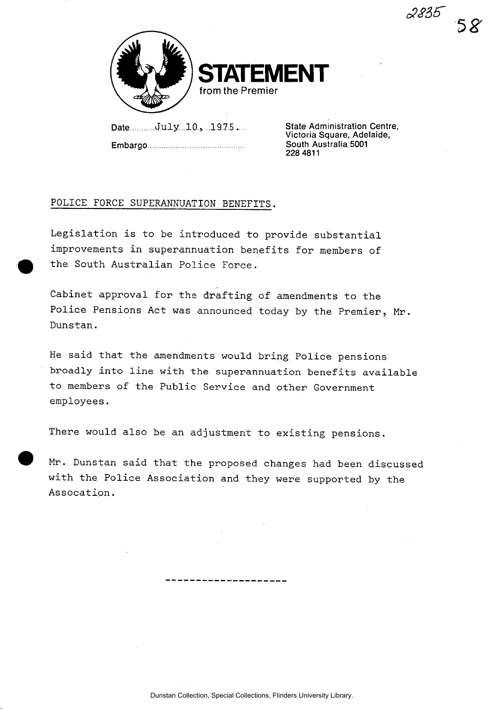

Date July 10, 1975...

Embargo

State Administration Centre Victoria Square, Adelaide, South Australia 5001 228 4811

*cSSiS'* 

## POLICE FORCE SUPERANNUATION BENEFITS.

Legislation is to be introduced to provide substantial improvements in superannuation benefits for members of the South Australian Police Force.

Cabinet approval for the drafting of amendments to the Police Pensions Act was announced today by the Premier, Mr. Dunstan.

He said that the amendments would bring Police pensions broadly into line with the superannuation benefits available to members of the Public Service and other Government employees.

There would also be an adjustment to existing pensions.

Mr. Dunstan said that the proposed changes had been discussed with the Police Association and they were supported by the Assocation.

------------------

Dunstan Collection, Special Collections, Flinders University Library.